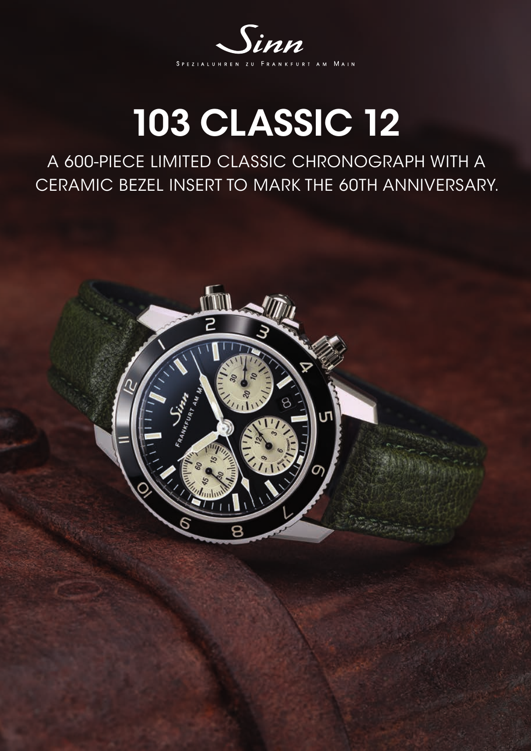

## 103 CLASSIC 12

A 600-PIECE LIMITED CLASSIC CHRONOGRAPH WITH A CERAMIC BEZEL INSERT TO MARK THE 60TH ANNIVERSARY.